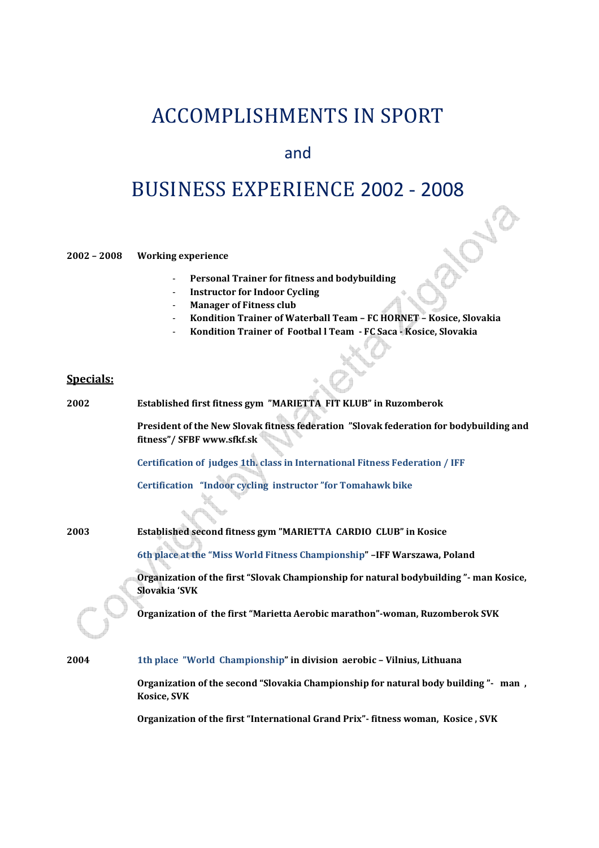## ACCOMPLISHMENTS IN SPORT

## and

## BUSINESS EXPERIENCE 2002 - 2008

**2002 – 2008 Working experience** 

- **Personal Trainer for fitness and bodybuilding**
- **Instructor for Indoor Cycling**
- **Manager of Fitness club**
- **Kondition Trainer of Waterball Team FC HORNET Kosice, Slovakia**
- **Kondition Trainer of Footbal l Team FC Saca Kosice, Slovakia**

## **Specials:**

| 2002 | Established first fitness gym "MARIETTA FIT KLUB" in Ruzomberok                                                      |
|------|----------------------------------------------------------------------------------------------------------------------|
|      | President of the New Slovak fitness federation "Slovak federation for bodybuilding and<br>fitness"/ SFBF www.sfkf.sk |
|      | Certification of judges 1th. class in International Fitness Federation / IFF                                         |
|      | Certification "Indoor cycling instructor" for Tomahawk bike                                                          |
| 2003 | Established second fitness gym "MARIETTA CARDIO CLUB" in Kosice                                                      |
|      | 6th place at the "Miss World Fitness Championship" -IFF Warszawa, Poland                                             |
|      | Organization of the first "Slovak Championship for natural bodybuilding" - man Kosice,<br>Slovakia 'SVK              |
|      | Organization of the first "Marietta Aerobic marathon"-woman, Ruzomberok SVK                                          |
| 2004 | 1th place "World Championship" in division aerobic - Vilnius, Lithuana                                               |

**Organization of the second "Slovakia Championship for natural body building "- man , Kosice, SVK** 

**Organization of the first "International Grand Prix"- fitness woman, Kosice , SVK**